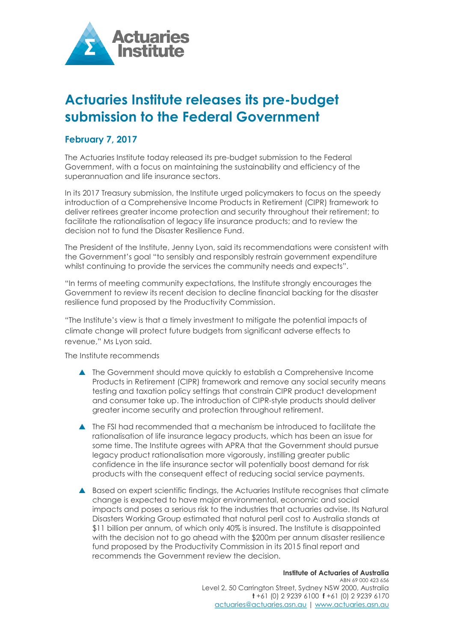

## **Actuaries Institute releases its pre-budget submission to the Federal Government**

## **February 7, 2017**

The Actuaries Institute today released its pre-budget submission to the Federal Government, with a focus on maintaining the sustainability and efficiency of the superannuation and life insurance sectors.

In its 2017 Treasury submission, the Institute urged policymakers to focus on the speedy introduction of a Comprehensive Income Products in Retirement (CIPR) framework to deliver retirees greater income protection and security throughout their retirement; to facilitate the rationalisation of legacy life insurance products; and to review the decision not to fund the Disaster Resilience Fund.

The President of the Institute, Jenny Lyon, said its recommendations were consistent with the Government's goal "to sensibly and responsibly restrain government expenditure whilst continuing to provide the services the community needs and expects".

"In terms of meeting community expectations, the Institute strongly encourages the Government to review its recent decision to decline financial backing for the disaster resilience fund proposed by the Productivity Commission.

"The Institute's view is that a timely investment to mitigate the potential impacts of climate change will protect future budgets from significant adverse effects to revenue," Ms Lyon said.

The Institute recommends

- The Government should move quickly to establish a Comprehensive Income Products in Retirement (CIPR) framework and remove any social security means testing and taxation policy settings that constrain CIPR product development and consumer take up. The introduction of CIPR-style products should deliver greater income security and protection throughout retirement.
- The FSI had recommended that a mechanism be introduced to facilitate the rationalisation of life insurance legacy products, which has been an issue for some time. The Institute agrees with APRA that the Government should pursue legacy product rationalisation more vigorously, instilling greater public confidence in the life insurance sector will potentially boost demand for risk products with the consequent effect of reducing social service payments.
- A Based on expert scientific findings, the Actuaries Institute recognises that climate change is expected to have major environmental, economic and social impacts and poses a serious risk to the industries that actuaries advise. Its Natural Disasters Working Group estimated that natural peril cost to Australia stands at \$11 billion per annum, of which only 40% is insured. The Institute is disappointed with the decision not to go ahead with the \$200m per annum disaster resilience fund proposed by the Productivity Commission in its 2015 final report and recommends the Government review the decision.

## **Institute of Actuaries of Australia**

ABN 69 000 423 656 Level 2, 50 Carrington Street, Sydney NSW 2000, Australia **t** +61 (0) 2 9239 6100 **f** +61 (0) 2 9239 6170 actuaries@actuaries.asn.au | www.actuaries.asn.au